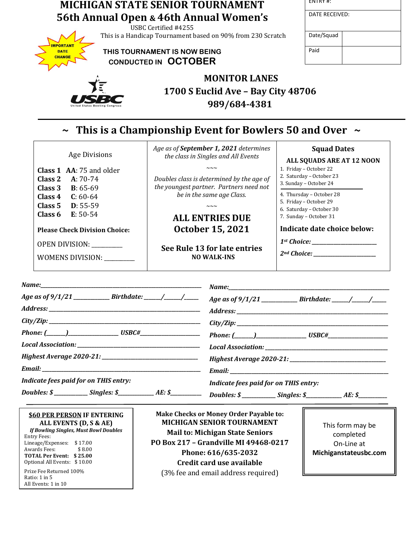| <b>MICHIGAN STATE SENIOR TOURNAMENT</b><br>56th Annual Open & 46th Annual Women's<br>USBC Certified #4255       |                                                                               | ENTRY #:                                           |
|-----------------------------------------------------------------------------------------------------------------|-------------------------------------------------------------------------------|----------------------------------------------------|
|                                                                                                                 |                                                                               | DATE RECEIVED:                                     |
| This is a Handicap Tournament based on 90% from 230 Scratch                                                     |                                                                               | Date/Squad                                         |
| <b>IMPORTANT</b><br>THIS TOURNAMENT IS NOW BEING<br><b>DATE</b><br><b>CHANGE</b><br><b>CONDUCTED IN OCTOBER</b> |                                                                               | Paid                                               |
|                                                                                                                 | <b>MONITOR LANES</b>                                                          |                                                    |
|                                                                                                                 | 1700 S Euclid Ave - Bay City 48706<br>989/684-4381                            |                                                    |
|                                                                                                                 | $\sim$ This is a Championship Event for Bowlers 50 and Over $\sim$            |                                                    |
| <b>Age Divisions</b>                                                                                            | Age as of September 1, 2021 determines<br>the class in Singles and All Events | <b>Squad Dates</b><br>ALL SQUADS ARE AT 12 NOON    |
| Class 1 AA: 75 and older                                                                                        | $\sim\sim\sim$                                                                | 1. Friday - October 22                             |
| Class 2<br>$A: 70-74$                                                                                           | Doubles class is determined by the age of                                     | 2. Saturday - October 23<br>3. Sunday - October 24 |
| Class 3<br>$B: 65-69$                                                                                           | the youngest partner. Partners need not                                       |                                                    |
| Class 4<br>$C: 60-64$                                                                                           | be in the same age Class.                                                     | 4. Thursday - October 28                           |
| Class <sub>5</sub><br>$D: 55-59$                                                                                | $\sim\sim\sim$                                                                | 5. Friday - October 29<br>6. Saturday - October 30 |
| $E: 50-54$<br>Class 6                                                                                           | <b>ALL ENTRIES DUE</b>                                                        | 7. Sunday - October 31                             |
| <b>Please Check Division Choice:</b>                                                                            | <b>October 15, 2021</b>                                                       | Indicate date choice below:                        |
| OPEN DIVISION: _______                                                                                          |                                                                               |                                                    |
|                                                                                                                 | See Rule 13 for late entries                                                  |                                                    |
| WOMENS DIVISION: ________                                                                                       | <b>NO WALK-INS</b>                                                            |                                                    |
| Name:                                                                                                           | Name:__                                                                       |                                                    |
| Age as of 9/1/21 _____________________________Birthdate: _______/_______/_______                                |                                                                               |                                                    |
|                                                                                                                 |                                                                               |                                                    |
|                                                                                                                 |                                                                               |                                                    |
|                                                                                                                 |                                                                               |                                                    |
|                                                                                                                 |                                                                               |                                                    |
|                                                                                                                 |                                                                               |                                                    |
|                                                                                                                 |                                                                               |                                                    |
| <b>Indicate fees paid for on THIS entry:</b>                                                                    |                                                                               | Indicate fees paid for on THIS entry:              |

**\$60 PER PERSON IF ENTERING ALL EVENTS (D, S & AE)** *If Bowling Singles, Must Bowl Doubles* Entry Fees: Lineage/Expenses: \$17.00<br>Awards Fees: \$8.00 Awards Fees: **TOTAL Per Event: \$ 25.00** Optional All Events: \$ 10.00 Prize Fee Returned 100% Ratio: 1 in 5 All Events: 1 in 10

*Doubles: \$* \_\_\_\_\_\_\_\_\_\_\_\_\_ *Singles: \$* \_\_\_\_\_\_\_\_\_\_\_\_\_ *AE: \$* 

**Make Checks or Money Order Payable to: MICHIGAN SENIOR TOURNAMENT Mail to: Michigan State Seniors PO Box 217 – Grandville MI 49468-0217 Phone: 616/635-2032 Credit card use available** (3% fee and email address required)

This form may be completed On-Line at **Michiganstateusbc.com**

*Doubles: \$\_\_\_\_\_\_\_\_\_\_\_\_\_ Singles: \$\_\_\_\_\_\_\_\_\_\_\_\_\_\_\_\_\_\_\_\_ AE: \$\_\_\_\_\_\_\_\_\_\_\_\_\_\_\_\_\_\_\_*